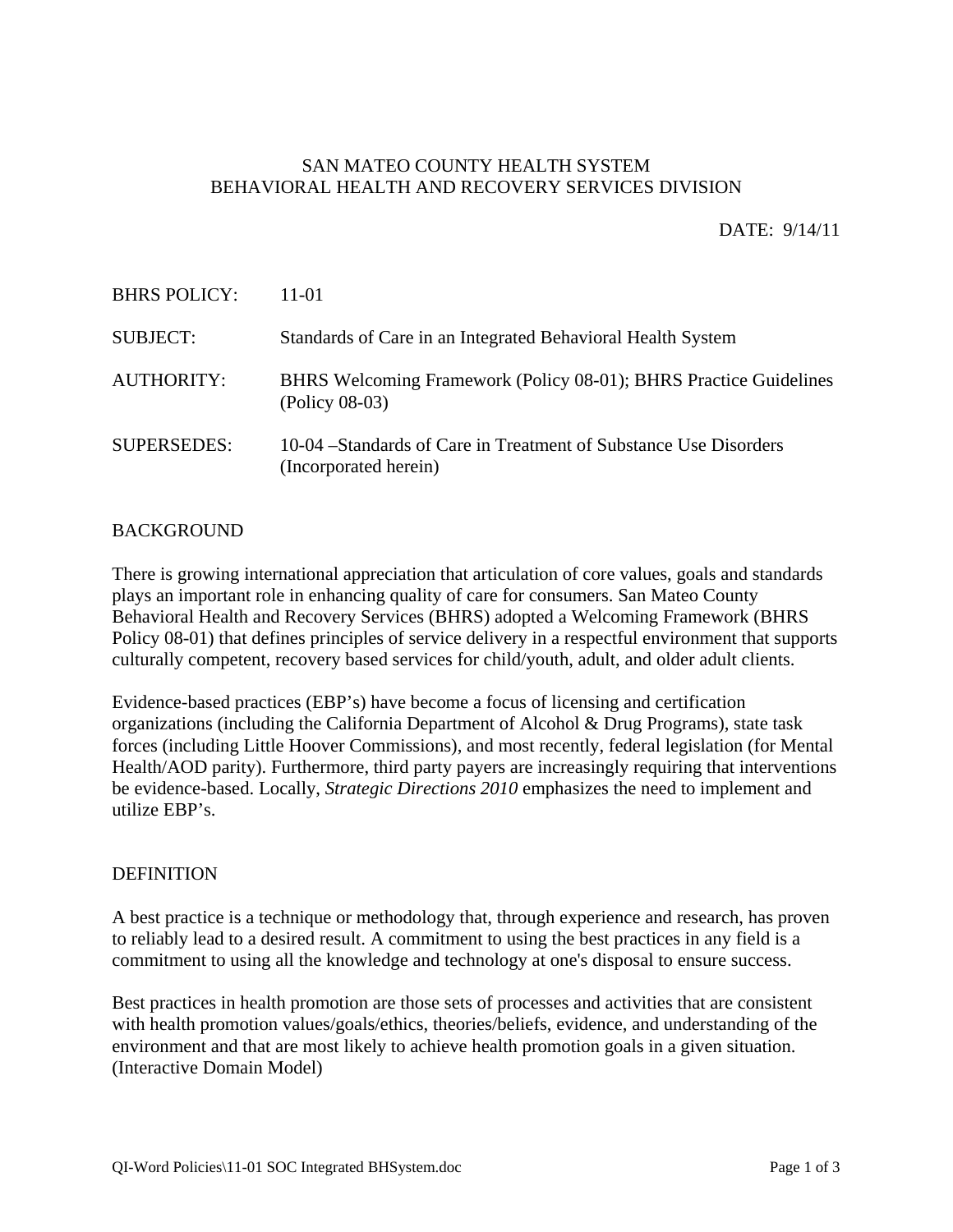## SAN MATEO COUNTY HEALTH SYSTEM BEHAVIORAL HEALTH AND RECOVERY SERVICES DIVISION

DATE: 9/14/11

| <b>BHRS POLICY:</b> | 11-01                                                                                      |
|---------------------|--------------------------------------------------------------------------------------------|
| <b>SUBJECT:</b>     | Standards of Care in an Integrated Behavioral Health System                                |
| <b>AUTHORITY:</b>   | BHRS Welcoming Framework (Policy 08-01); BHRS Practice Guidelines<br>$(Policy\ 08-03)$     |
| <b>SUPERSEDES:</b>  | 10-04 – Standards of Care in Treatment of Substance Use Disorders<br>(Incorporated herein) |

### **BACKGROUND**

There is growing international appreciation that articulation of core values, goals and standards plays an important role in enhancing quality of care for consumers. San Mateo County Behavioral Health and Recovery Services (BHRS) adopted a Welcoming Framework (BHRS Policy 08-01) that defines principles of service delivery in a respectful environment that supports culturally competent, recovery based services for child/youth, adult, and older adult clients.

Evidence-based practices (EBP's) have become a focus of licensing and certification organizations (including the California Department of Alcohol & Drug Programs), state task forces (including Little Hoover Commissions), and most recently, federal legislation (for Mental Health/AOD parity). Furthermore, third party payers are increasingly requiring that interventions be evidence-based. Locally, *Strategic Directions 2010* emphasizes the need to implement and utilize EBP's.

### DEFINITION

A best practice is a technique or methodology that, through experience and research, has proven to reliably lead to a desired result. A commitment to using the best practices in any field is a commitment to using all the knowledge and technology at one's disposal to ensure success.

Best practices in health promotion are those sets of processes and activities that are consistent with health promotion values/goals/ethics, theories/beliefs, evidence, and understanding of the environment and that are most likely to achieve health promotion goals in a given situation. (Interactive Domain Model)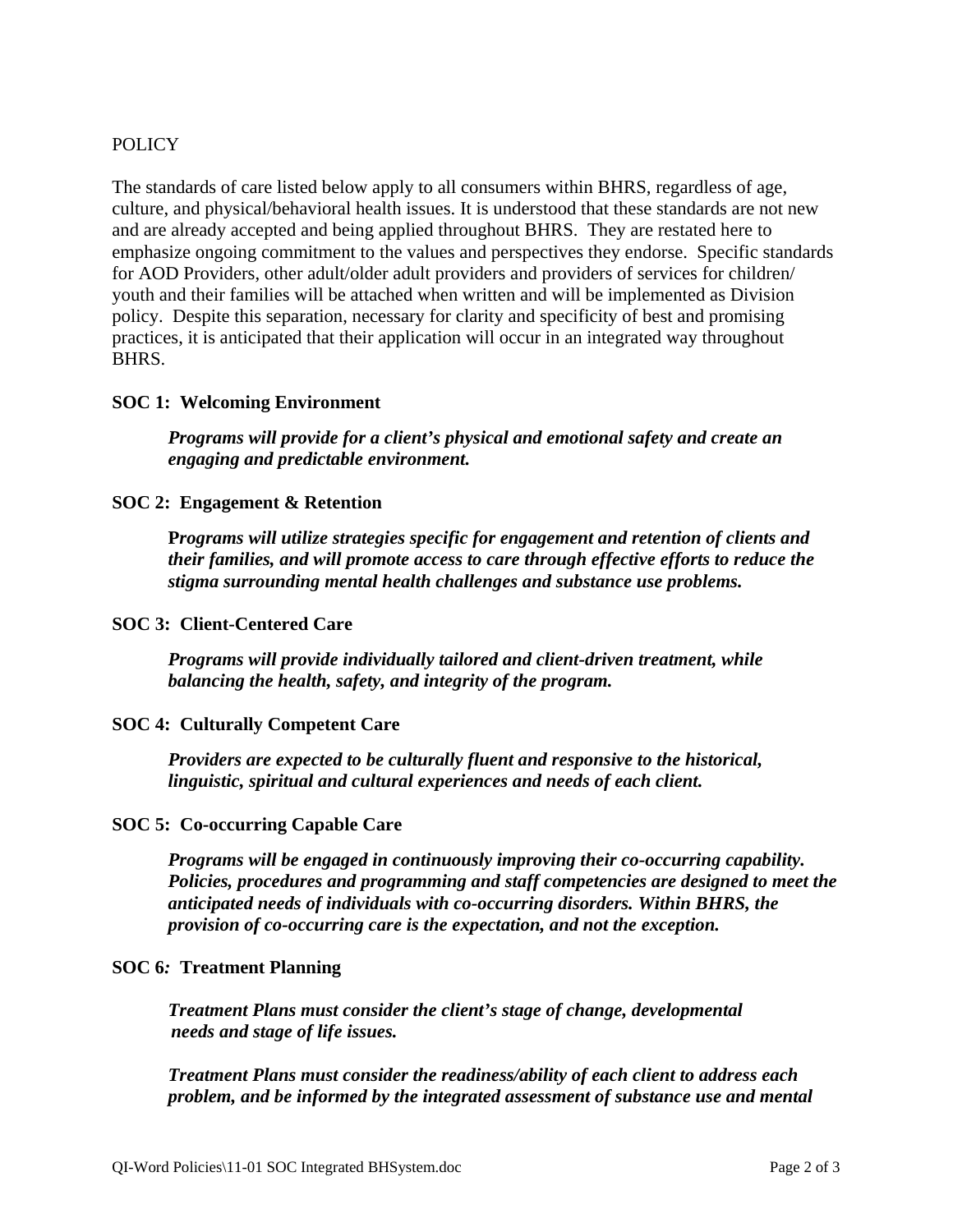# POLICY

The standards of care listed below apply to all consumers within BHRS, regardless of age, culture, and physical/behavioral health issues. It is understood that these standards are not new and are already accepted and being applied throughout BHRS. They are restated here to emphasize ongoing commitment to the values and perspectives they endorse. Specific standards for AOD Providers, other adult/older adult providers and providers of services for children/ youth and their families will be attached when written and will be implemented as Division policy. Despite this separation, necessary for clarity and specificity of best and promising practices, it is anticipated that their application will occur in an integrated way throughout BHRS.

# **SOC 1: Welcoming Environment**

*Programs will provide for a client's physical and emotional safety and create an engaging and predictable environment.*

# **SOC 2: Engagement & Retention**

**P***rograms will utilize strategies specific for engagement and retention of clients and their families, and will promote access to care through effective efforts to reduce the stigma surrounding mental health challenges and substance use problems.*

### **SOC 3: Client-Centered Care**

*Programs will provide individually tailored and client-driven treatment, while balancing the health, safety, and integrity of the program.*

### **SOC 4: Culturally Competent Care**

*Providers are expected to be culturally fluent and responsive to the historical, linguistic, spiritual and cultural experiences and needs of each client.*

### **SOC 5: Co-occurring Capable Care**

*Programs will be engaged in continuously improving their co-occurring capability. Policies, procedures and programming and staff competencies are designed to meet the anticipated needs of individuals with co-occurring disorders. Within BHRS, the provision of co-occurring care is the expectation, and not the exception.*

### **SOC 6***:* **Treatment Planning**

*Treatment Plans must consider the client's stage of change, developmental needs and stage of life issues.* 

*Treatment Plans must consider the readiness/ability of each client to address each problem, and be informed by the integrated assessment of substance use and mental*